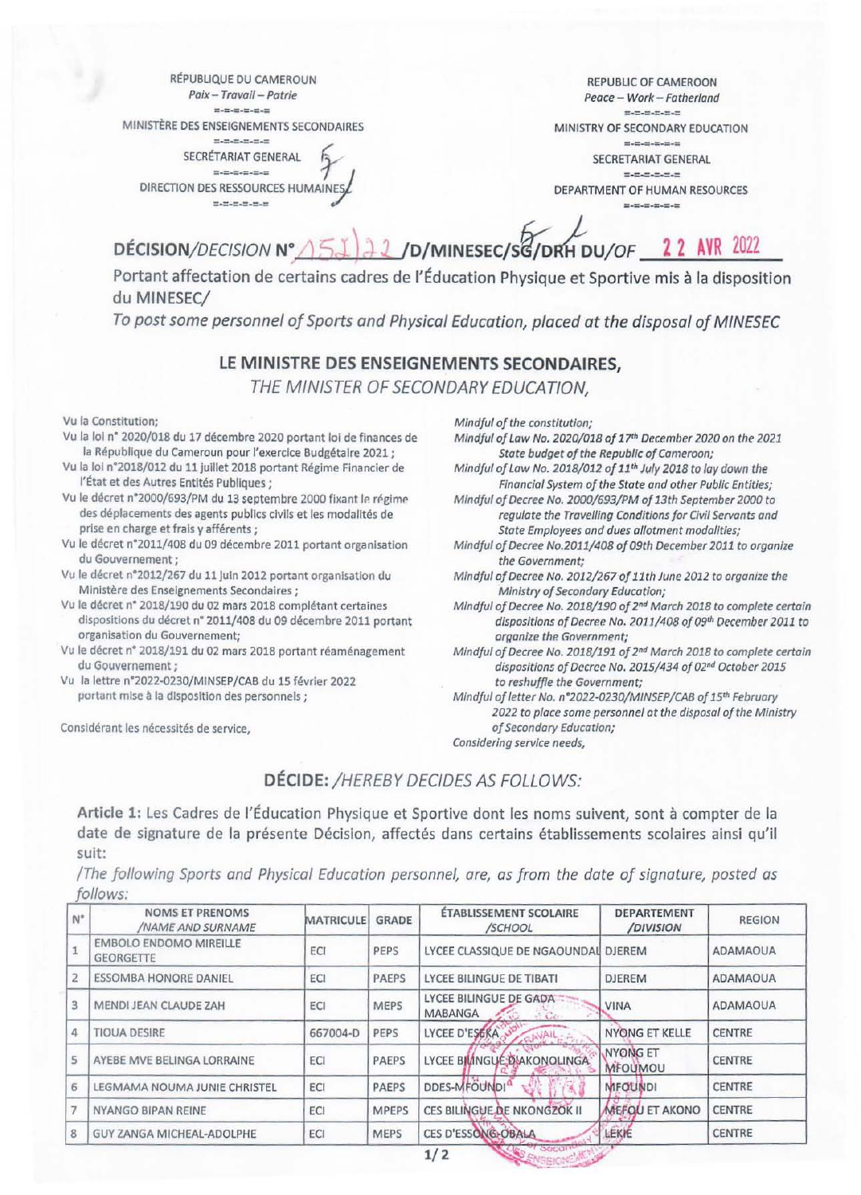RÉPUBLIQUE DU CAMEROUN Paix - Travail - Patrie **HORSELMAN** MINISTÈRE DES ENSEIGNEMENTS SECONDAIRES

**March 200 and 200 and** 

SECRÉTARIAT GENERAL  $\label{eq:1.1} \begin{split} \mathbf{u}_1 & = \mathbf{u}_2 \mathbf{u}_3 \mathbf{u}_4 \mathbf{u}_5 \mathbf{u}_6 \mathbf{u}_7 \mathbf{u}_8 \mathbf{u}_9 \mathbf{u}_8 \mathbf{u}_9 \mathbf{u}_9 \mathbf{u}_9 \mathbf{u}_9 \mathbf{u}_9 \mathbf{u}_9 \mathbf{u}_9 \mathbf{u}_9 \mathbf{u}_9 \mathbf{u}_9 \mathbf{u}_9 \mathbf{u}_9 \mathbf{u}_9 \mathbf{u}_9 \mathbf{u}_9 \mathbf{u}_9 \mathbf{u}_9 \mathbf{u}_9 \mathbf{u}_9 \$ DIRECTION DES RESSOURCES HUMAIN  $11 - 11 - 11 - 11 - 11 - 11$ 

**REPUBLIC OF CAMEROON** Peace - Work - Fatherland  $H_1, H_2, H_3, H_4, H_5, H_6$ MINISTRY OF SECONDARY EDUCATION  $= -10 - 10 - 10 - 10$ SECRETARIAT GENERAL **EXECUTIVE DEPARTMENT OF HUMAN RESOURCES**  $= -1 - 1 - 1 - 1 - 1$ 

## 2 /D/MINESEC/SG/DRH DU/OF 22 AVR DÉCISION/DECISION N° 2022

Portant affectation de certains cadres de l'Éducation Physique et Sportive mis à la disposition du MINESEC/

To post some personnel of Sports and Physical Education, placed at the disposal of MINESEC

## LE MINISTRE DES ENSEIGNEMENTS SECONDAIRES.

THE MINISTER OF SECONDARY EDUCATION.

Vu la Constitution;

- Vu la loi nº 2020/018 du 17 décembre 2020 portant loi de finances de la République du Cameroun pour l'exercice Budgétaire 2021 ;
- Vu la loi n°2018/012 du 11 juillet 2018 portant Régime Financier de l'État et des Autres Entités Publiques ;
- Vu le décret n°2000/693/PM du 13 septembre 2000 fixant le régime des déplacements des agents publics civils et les modalités de prise en charge et frais y afférents;
- Vu le décret n°2011/408 du 09 décembre 2011 portant organisation du Gouvernement;
- Vu le décret n°2012/267 du 11 Juin 2012 portant organisation du Ministère des Enseignements Secondaires ;
- Vu le décret n° 2018/190 du 02 mars 2018 complétant certaines dispositions du décret n° 2011/408 du 09 décembre 2011 portant organisation du Gouvernement;
- Vu le décret n° 2018/191 du 02 mars 2018 portant réaménagement du Gouvernement;
- Vu la lettre n°2022-0230/MINSEP/CAB du 15 février 2022 portant mise à la disposition des personnels ;

Considérant les nécessités de service,

Mindful of the constitution;

- Mindful of Law No. 2020/018 of 17th December 2020 on the 2021 State budget of the Republic of Cameroon;
- Mindful of Law No. 2018/012 of 11th July 2018 to lay down the Financial System of the State and other Public Entities;
- Mindful of Decree No. 2000/693/PM of 13th September 2000 to regulate the Travelling Conditions for Civil Servants and State Employees and dues allotment modalities;
- Mindful of Decree No.2011/408 of 09th December 2011 to organize the Government;
- Mindful of Decree No. 2012/267 of 11th June 2012 to organize the Ministry of Secondary Education;
- Mindful of Decree No. 2018/190 of 2nd March 2018 to complete certain dispositions of Decree No. 2011/408 of 09th December 2011 to organize the Government;
- Mindful of Decree No. 2018/191 of 2nd March 2018 to complete certain dispositions of Decree No. 2015/434 of 02nd October 2015 to reshuffle the Government;

Mindful of letter No. n°2022-0230/MINSEP/CAB of 15th February 2022 to place some personnel at the disposal of the Ministry of Secondary Education; Considering service needs,

DÉCIDE: /HEREBY DECIDES AS FOLLOWS:

Article 1: Les Cadres de l'Éducation Physique et Sportive dont les noms suivent, sont à compter de la date de signature de la présente Décision, affectés dans certains établissements scolaires ainsi qu'il suit:

The following Sports and Physical Education personnel, are, as from the date of signature, posted as follows:

| $N^{\circ}$ | <b>NOMS ET PRENOMS</b><br><b>/NAME AND SURNAME</b> | <b>MATRICULE</b> | <b>GRADE</b> | <b>ÉTABLISSEMENT SCOLAIRE</b><br>/SCHOOL | <b>DEPARTEMENT</b><br>/DIVISION   | <b>REGION</b>   |
|-------------|----------------------------------------------------|------------------|--------------|------------------------------------------|-----------------------------------|-----------------|
|             | <b>EMBOLO ENDOMO MIREILLE</b><br><b>GEORGETTE</b>  | ECI              | PEPS         | LYCEE CLASSIQUE DE NGAOUNDAI DJEREM      |                                   | <b>ADAMAOUA</b> |
|             | <b>ESSOMBA HONORE DANIEL</b>                       | ECI              | <b>PAEPS</b> | LYCEE BILINGUE DE TIBATI                 | <b>DJEREM</b>                     | ADAMAOUA        |
| 3           | MENDI JEAN CLAUDE ZAH                              | ECI              | <b>MEPS</b>  | LYCEE BILINGUE DE GADA<br><b>MABANGA</b> | <b>VINA</b>                       | <b>ADAMAOUA</b> |
| 4           | <b>TIOUA DESIRE</b>                                | 667004-D         | PEPS         | LYCEE D'ESERA<br>ONAIL,                  | <b>NYONG ET KELLE</b>             | <b>CENTRE</b>   |
| 5           | AYEBE MVE BELINGA LORRAINE                         | ECI              | <b>PAEPS</b> | LYCEE BILINGUE DIAKONOLINGA              | <b>NYONG ET</b><br><b>MFOUMOU</b> | <b>CENTRE</b>   |
| 6           | LEGMAMA NOUMA JUNIE CHRISTEL                       | ECI              | <b>PAEPS</b> | DDES-MFOUNDI <sup>a</sup>                | <b>MFOUNDI</b>                    | <b>CENTRE</b>   |
|             | NYANGO BIPAN REINE                                 | ECI              | <b>MPEPS</b> | <b>CES BILINGUE DE NKONGZOK II</b>       | MEFOU ET AKONO                    | <b>CENTRE</b>   |
| 8           | GUY ZANGA MICHEAL-ADOLPHE                          | ECI              | <b>MEPS</b>  | <b>CES D'ESSONG-OBALA</b>                | LEKIE                             | CENTRE          |

**ENGEICINE AND**